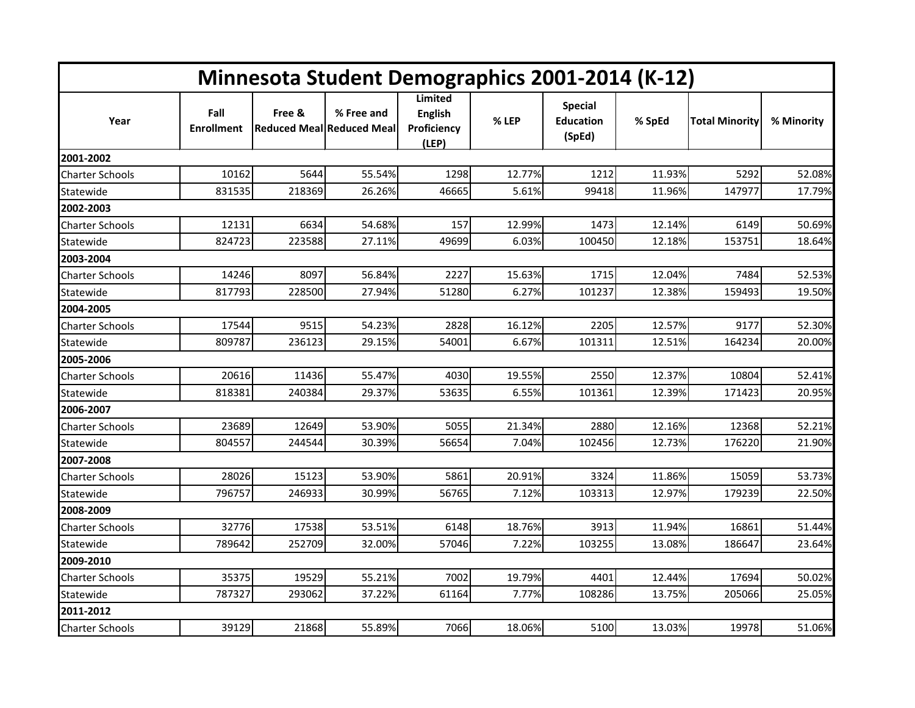| Minnesota Student Demographics 2001-2014 (K-12) |                           |        |                                                |                                                   |        |                                              |        |                       |            |  |
|-------------------------------------------------|---------------------------|--------|------------------------------------------------|---------------------------------------------------|--------|----------------------------------------------|--------|-----------------------|------------|--|
| Year                                            | Fall<br><b>Enrollment</b> | Free & | % Free and<br><b>Reduced Meal Reduced Meal</b> | Limited<br><b>English</b><br>Proficiency<br>(LEP) | % LEP  | <b>Special</b><br><b>Education</b><br>(SpEd) | % SpEd | <b>Total Minority</b> | % Minority |  |
| 2001-2002                                       |                           |        |                                                |                                                   |        |                                              |        |                       |            |  |
| <b>Charter Schools</b>                          | 10162                     | 5644   | 55.54%                                         | 1298                                              | 12.77% | 1212                                         | 11.93% | 5292                  | 52.08%     |  |
| Statewide                                       | 831535                    | 218369 | 26.26%                                         | 46665                                             | 5.61%  | 99418                                        | 11.96% | 147977                | 17.79%     |  |
| 2002-2003                                       |                           |        |                                                |                                                   |        |                                              |        |                       |            |  |
| <b>Charter Schools</b>                          | 12131                     | 6634   | 54.68%                                         | 157                                               | 12.99% | 1473                                         | 12.14% | 6149                  | 50.69%     |  |
| Statewide                                       | 824723                    | 223588 | 27.11%                                         | 49699                                             | 6.03%  | 100450                                       | 12.18% | 153751                | 18.64%     |  |
| 2003-2004                                       |                           |        |                                                |                                                   |        |                                              |        |                       |            |  |
| <b>Charter Schools</b>                          | 14246                     | 8097   | 56.84%                                         | 2227                                              | 15.63% | 1715                                         | 12.04% | 7484                  | 52.53%     |  |
| Statewide                                       | 817793                    | 228500 | 27.94%                                         | 51280                                             | 6.27%  | 101237                                       | 12.38% | 159493                | 19.50%     |  |
| 2004-2005                                       |                           |        |                                                |                                                   |        |                                              |        |                       |            |  |
| Charter Schools                                 | 17544                     | 9515   | 54.23%                                         | 2828                                              | 16.12% | 2205                                         | 12.57% | 9177                  | 52.30%     |  |
| Statewide                                       | 809787                    | 236123 | 29.15%                                         | 54001                                             | 6.67%  | 101311                                       | 12.51% | 164234                | 20.00%     |  |
| 2005-2006                                       |                           |        |                                                |                                                   |        |                                              |        |                       |            |  |
| Charter Schools                                 | 20616                     | 11436  | 55.47%                                         | 4030                                              | 19.55% | 2550                                         | 12.37% | 10804                 | 52.41%     |  |
| Statewide                                       | 818381                    | 240384 | 29.37%                                         | 53635                                             | 6.55%  | 101361                                       | 12.39% | 171423                | 20.95%     |  |
| 2006-2007                                       |                           |        |                                                |                                                   |        |                                              |        |                       |            |  |
| <b>Charter Schools</b>                          | 23689                     | 12649  | 53.90%                                         | 5055                                              | 21.34% | 2880                                         | 12.16% | 12368                 | 52.21%     |  |
| Statewide                                       | 804557                    | 244544 | 30.39%                                         | 56654                                             | 7.04%  | 102456                                       | 12.73% | 176220                | 21.90%     |  |
| 2007-2008                                       |                           |        |                                                |                                                   |        |                                              |        |                       |            |  |
| <b>Charter Schools</b>                          | 28026                     | 15123  | 53.90%                                         | 5861                                              | 20.91% | 3324                                         | 11.86% | 15059                 | 53.73%     |  |
| Statewide                                       | 796757                    | 246933 | 30.99%                                         | 56765                                             | 7.12%  | 103313                                       | 12.97% | 179239                | 22.50%     |  |
| 2008-2009                                       |                           |        |                                                |                                                   |        |                                              |        |                       |            |  |
| Charter Schools                                 | 32776                     | 17538  | 53.51%                                         | 6148                                              | 18.76% | 3913                                         | 11.94% | 16861                 | 51.44%     |  |
| Statewide                                       | 789642                    | 252709 | 32.00%                                         | 57046                                             | 7.22%  | 103255                                       | 13.08% | 186647                | 23.64%     |  |
| 2009-2010                                       |                           |        |                                                |                                                   |        |                                              |        |                       |            |  |
| <b>Charter Schools</b>                          | 35375                     | 19529  | 55.21%                                         | 7002                                              | 19.79% | 4401                                         | 12.44% | 17694                 | 50.02%     |  |
| Statewide                                       | 787327                    | 293062 | 37.22%                                         | 61164                                             | 7.77%  | 108286                                       | 13.75% | 205066                | 25.05%     |  |
| 2011-2012                                       |                           |        |                                                |                                                   |        |                                              |        |                       |            |  |
| <b>Charter Schools</b>                          | 39129                     | 21868  | 55.89%                                         | 7066                                              | 18.06% | 5100                                         | 13.03% | 19978                 | 51.06%     |  |